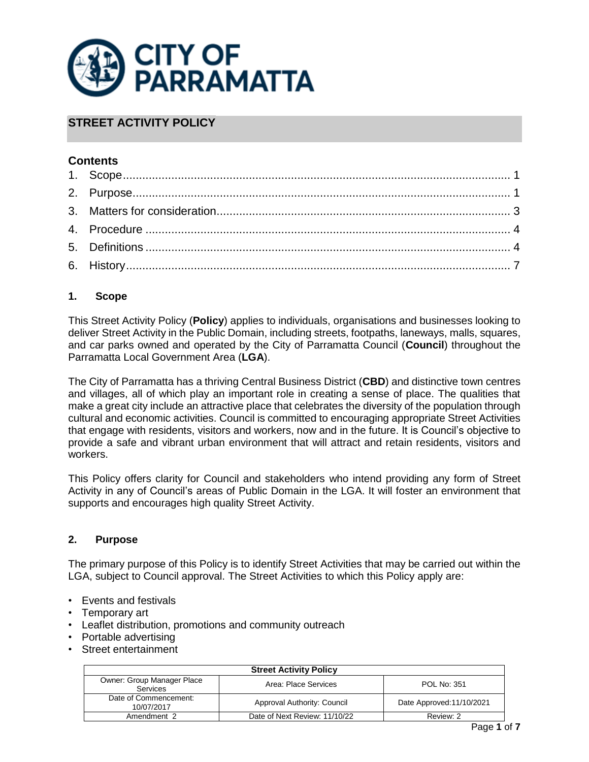

# **STREET ACTIVITY POLICY**

# **Contents**

# <span id="page-0-0"></span>**1. Scope**

This Street Activity Policy (**Policy**) applies to individuals, organisations and businesses looking to deliver Street Activity in the Public Domain, including streets, footpaths, laneways, malls, squares, and car parks owned and operated by the City of Parramatta Council (**Council**) throughout the Parramatta Local Government Area (**LGA**).

The City of Parramatta has a thriving Central Business District (**CBD**) and distinctive town centres and villages, all of which play an important role in creating a sense of place. The qualities that make a great city include an attractive place that celebrates the diversity of the population through cultural and economic activities. Council is committed to encouraging appropriate Street Activities that engage with residents, visitors and workers, now and in the future. It is Council's objective to provide a safe and vibrant urban environment that will attract and retain residents, visitors and workers.

This Policy offers clarity for Council and stakeholders who intend providing any form of Street Activity in any of Council's areas of Public Domain in the LGA. It will foster an environment that supports and encourages high quality Street Activity.

### <span id="page-0-1"></span>**2. Purpose**

The primary purpose of this Policy is to identify Street Activities that may be carried out within the LGA, subject to Council approval. The Street Activities to which this Policy apply are:

- Events and festivals
- Temporary art
- Leaflet distribution, promotions and community outreach
- Portable advertising
- Street entertainment

| <b>Street Activity Policy</b>          |                               |                           |  |
|----------------------------------------|-------------------------------|---------------------------|--|
| Owner: Group Manager Place<br>Services | Area: Place Services          | <b>POL No: 351</b>        |  |
| Date of Commencement:<br>10/07/2017    | Approval Authority: Council   | Date Approved: 11/10/2021 |  |
| Amendment 2                            | Date of Next Review: 11/10/22 | Review: 2                 |  |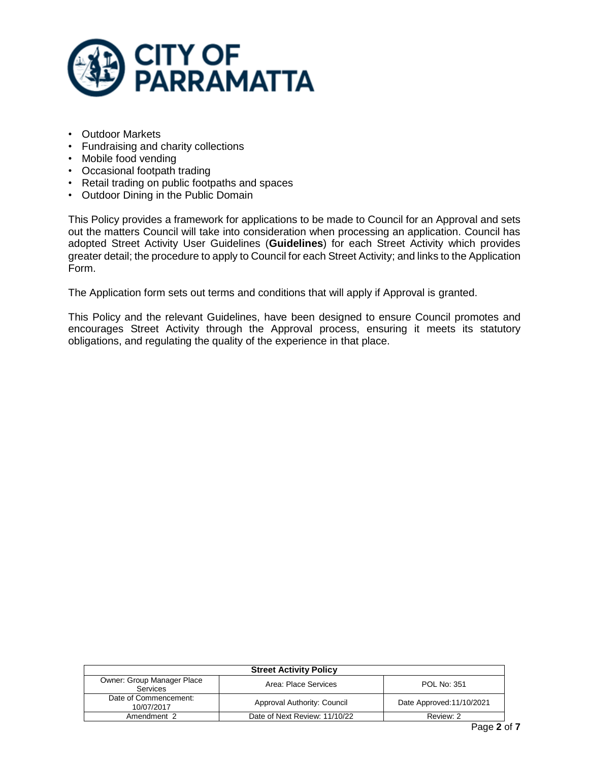

- Outdoor Markets
- Fundraising and charity collections
- Mobile food vending
- Occasional footpath trading
- Retail trading on public footpaths and spaces
- Outdoor Dining in the Public Domain

This Policy provides a framework for applications to be made to Council for an Approval and sets out the matters Council will take into consideration when processing an application. Council has adopted Street Activity User Guidelines (**Guidelines**) for each Street Activity which provides greater detail; the procedure to apply to Council for each Street Activity; and links to the Application Form.

The Application form sets out terms and conditions that will apply if Approval is granted.

This Policy and the relevant Guidelines, have been designed to ensure Council promotes and encourages Street Activity through the Approval process, ensuring it meets its statutory obligations, and regulating the quality of the experience in that place.

| <b>Street Activity Policy</b>          |                               |                           |  |
|----------------------------------------|-------------------------------|---------------------------|--|
| Owner: Group Manager Place<br>Services | Area: Place Services          | <b>POL No: 351</b>        |  |
| Date of Commencement:<br>10/07/2017    | Approval Authority: Council   | Date Approved: 11/10/2021 |  |
| Amendment 2                            | Date of Next Review: 11/10/22 | Review: 2                 |  |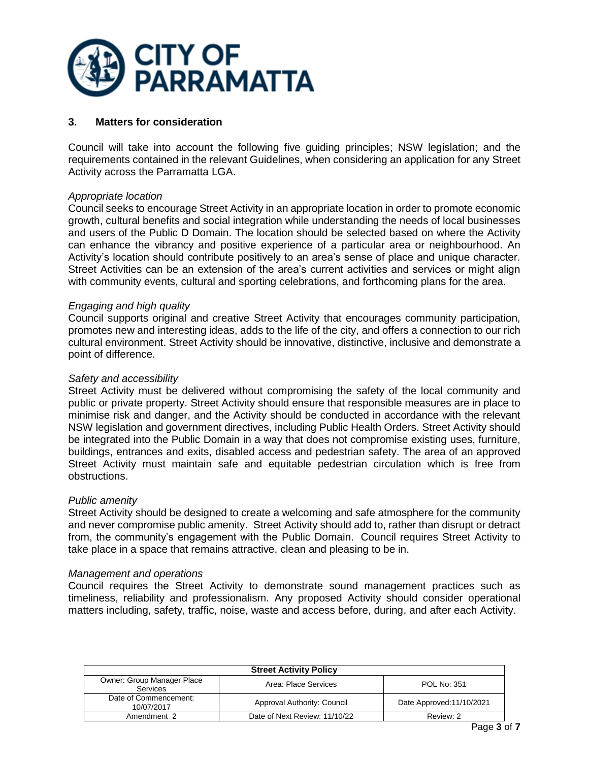

### <span id="page-2-0"></span>**3. Matters for consideration**

Council will take into account the following five guiding principles; NSW legislation; and the requirements contained in the relevant Guidelines, when considering an application for any Street Activity across the Parramatta LGA.

### *Appropriate location*

Council seeks to encourage Street Activity in an appropriate location in order to promote economic growth, cultural benefits and social integration while understanding the needs of local businesses and users of the Public D Domain. The location should be selected based on where the Activity can enhance the vibrancy and positive experience of a particular area or neighbourhood. An Activity's location should contribute positively to an area's sense of place and unique character. Street Activities can be an extension of the area's current activities and services or might align with community events, cultural and sporting celebrations, and forthcoming plans for the area.

### *Engaging and high quality*

Council supports original and creative Street Activity that encourages community participation, promotes new and interesting ideas, adds to the life of the city, and offers a connection to our rich cultural environment. Street Activity should be innovative, distinctive, inclusive and demonstrate a point of difference.

#### *Safety and accessibility*

Street Activity must be delivered without compromising the safety of the local community and public or private property. Street Activity should ensure that responsible measures are in place to minimise risk and danger, and the Activity should be conducted in accordance with the relevant NSW legislation and government directives, including Public Health Orders. Street Activity should be integrated into the Public Domain in a way that does not compromise existing uses, furniture, buildings, entrances and exits, disabled access and pedestrian safety. The area of an approved Street Activity must maintain safe and equitable pedestrian circulation which is free from obstructions.

#### *Public amenity*

Street Activity should be designed to create a welcoming and safe atmosphere for the community and never compromise public amenity. Street Activity should add to, rather than disrupt or detract from, the community's engagement with the Public Domain. Council requires Street Activity to take place in a space that remains attractive, clean and pleasing to be in.

#### *Management and operations*

Council requires the Street Activity to demonstrate sound management practices such as timeliness, reliability and professionalism. Any proposed Activity should consider operational matters including, safety, traffic, noise, waste and access before, during, and after each Activity.

| <b>Street Activity Policy</b>          |                               |                           |  |
|----------------------------------------|-------------------------------|---------------------------|--|
| Owner: Group Manager Place<br>Services | Area: Place Services          | <b>POL No: 351</b>        |  |
| Date of Commencement:<br>10/07/2017    | Approval Authority: Council   | Date Approved: 11/10/2021 |  |
| Amendment 2                            | Date of Next Review: 11/10/22 | Review: 2                 |  |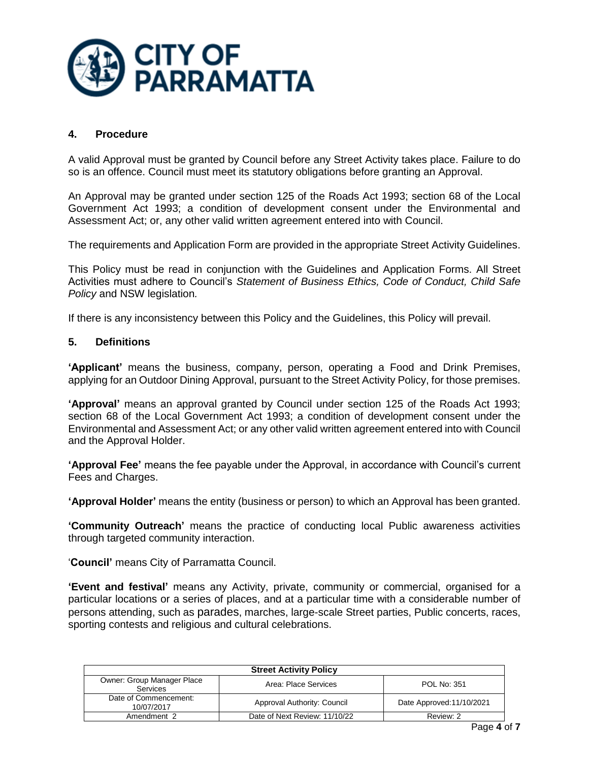

## <span id="page-3-0"></span>**4. Procedure**

A valid Approval must be granted by Council before any Street Activity takes place. Failure to do so is an offence. Council must meet its statutory obligations before granting an Approval.

An Approval may be granted under section 125 of the Roads Act 1993; section 68 of the Local Government Act 1993; a condition of development consent under the Environmental and Assessment Act; or, any other valid written agreement entered into with Council.

The requirements and Application Form are provided in the appropriate Street Activity Guidelines.

This Policy must be read in conjunction with the Guidelines and Application Forms. All Street Activities must adhere to Council's *Statement of Business Ethics, Code of Conduct, Child Safe Policy* and NSW legislation*.*

<span id="page-3-1"></span>If there is any inconsistency between this Policy and the Guidelines, this Policy will prevail.

### **5. Definitions**

**'Applicant'** means the business, company, person, operating a Food and Drink Premises, applying for an Outdoor Dining Approval, pursuant to the Street Activity Policy, for those premises.

**'Approval'** means an approval granted by Council under section 125 of the Roads Act 1993; section 68 of the Local Government Act 1993; a condition of development consent under the Environmental and Assessment Act; or any other valid written agreement entered into with Council and the Approval Holder.

**'Approval Fee'** means the fee payable under the Approval, in accordance with Council's current Fees and Charges.

**'Approval Holder'** means the entity (business or person) to which an Approval has been granted.

**'Community Outreach'** means the practice of conducting local Public awareness activities through targeted community interaction.

'**Council'** means City of Parramatta Council.

**'Event and festival'** means any Activity, private, community or commercial, organised for a particular locations or a series of places, and at a particular time with a considerable number of persons attending, such as parades, marches, large-scale Street parties, Public concerts, races, sporting contests and religious and cultural celebrations.

| <b>Street Activity Policy</b>                 |                               |                           |  |
|-----------------------------------------------|-------------------------------|---------------------------|--|
| Owner: Group Manager Place<br><b>Services</b> | Area: Place Services          | <b>POL No: 351</b>        |  |
| Date of Commencement:<br>10/07/2017           | Approval Authority: Council   | Date Approved: 11/10/2021 |  |
| Amendment 2                                   | Date of Next Review: 11/10/22 | Review: 2                 |  |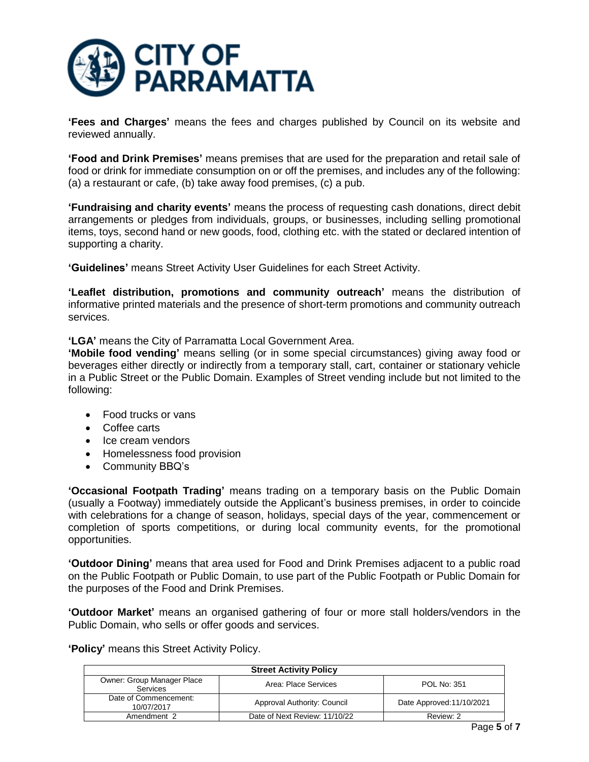

**'Fees and Charges'** means the fees and charges published by Council on its website and reviewed annually.

**'Food and Drink Premises'** means premises that are used for the preparation and retail sale of food or drink for immediate consumption on or off the premises, and includes any of the following: (a) a restaurant or cafe, (b) take away food premises, (c) a pub.

**'Fundraising and charity events'** means the process of requesting cash donations, direct debit arrangements or pledges from individuals, groups, or businesses, including selling promotional items, toys, second hand or new goods, food, clothing etc. with the stated or declared intention of supporting a charity.

**'Guidelines'** means Street Activity User Guidelines for each Street Activity.

**'Leaflet distribution, promotions and community outreach'** means the distribution of informative printed materials and the presence of short-term promotions and community outreach services.

**'LGA'** means the City of Parramatta Local Government Area.

**'Mobile food vending'** means selling (or in some special circumstances) giving away food or beverages either directly or indirectly from a temporary stall, cart, container or stationary vehicle in a Public Street or the Public Domain. Examples of Street vending include but not limited to the following:

- Food trucks or vans
- Coffee carts
- Ice cream vendors
- Homelessness food provision
- Community BBQ's

**'Occasional Footpath Trading'** means trading on a temporary basis on the Public Domain (usually a Footway) immediately outside the Applicant's business premises, in order to coincide with celebrations for a change of season, holidays, special days of the year, commencement or completion of sports competitions, or during local community events, for the promotional opportunities.

**'Outdoor Dining'** means that area used for Food and Drink Premises adjacent to a public road on the Public Footpath or Public Domain, to use part of the Public Footpath or Public Domain for the purposes of the Food and Drink Premises.

**'Outdoor Market'** means an organised gathering of four or more stall holders/vendors in the Public Domain, who sells or offer goods and services.

**'Policy'** means this Street Activity Policy.

| <b>Street Activity Policy</b>          |                               |                           |  |
|----------------------------------------|-------------------------------|---------------------------|--|
| Owner: Group Manager Place<br>Services | Area: Place Services          | <b>POL No: 351</b>        |  |
| Date of Commencement:<br>10/07/2017    | Approval Authority: Council   | Date Approved: 11/10/2021 |  |
| Amendment 2                            | Date of Next Review: 11/10/22 | Review: 2                 |  |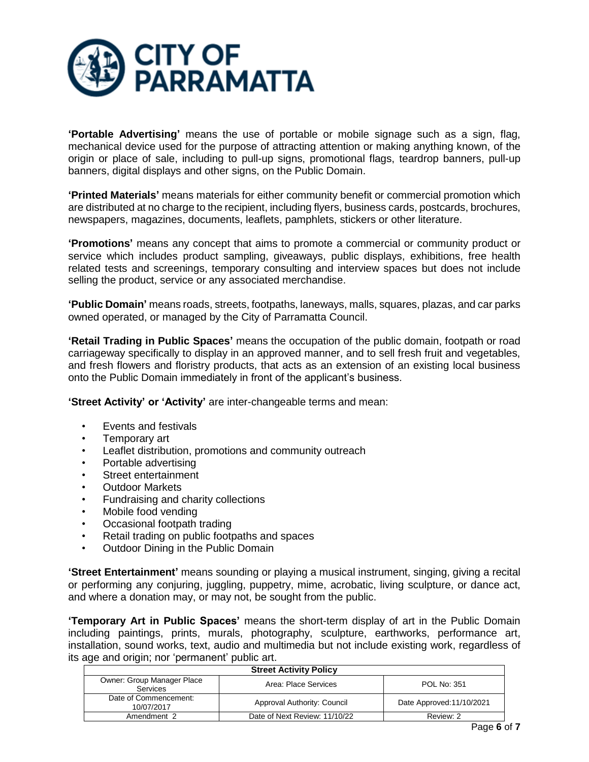

**'Portable Advertising'** means the use of portable or mobile signage such as a sign, flag, mechanical device used for the purpose of attracting attention or making anything known, of the origin or place of sale, including to pull-up signs, promotional flags, teardrop banners, pull-up banners, digital displays and other signs, on the Public Domain.

**'Printed Materials'** means materials for either community benefit or commercial promotion which are distributed at no charge to the recipient, including flyers, business cards, postcards, brochures, newspapers, magazines, documents, leaflets, pamphlets, stickers or other literature.

**'Promotions'** means any concept that aims to promote a commercial or community product or service which includes product sampling, giveaways, public displays, exhibitions, free health related tests and screenings, temporary consulting and interview spaces but does not include selling the product, service or any associated merchandise.

**'Public Domain'** means roads, streets, footpaths, laneways, malls, squares, plazas, and car parks owned operated, or managed by the City of Parramatta Council.

**'Retail Trading in Public Spaces'** means the occupation of the public domain, footpath or road carriageway specifically to display in an approved manner, and to sell fresh fruit and vegetables, and fresh flowers and floristry products, that acts as an extension of an existing local business onto the Public Domain immediately in front of the applicant's business.

**'Street Activity' or 'Activity'** are inter-changeable terms and mean:

- Events and festivals
- Temporary art
- Leaflet distribution, promotions and community outreach
- Portable advertising
- Street entertainment
- Outdoor Markets
- Fundraising and charity collections
- Mobile food vending
- Occasional footpath trading
- Retail trading on public footpaths and spaces
- Outdoor Dining in the Public Domain

**'Street Entertainment'** means sounding or playing a musical instrument, singing, giving a recital or performing any conjuring, juggling, puppetry, mime, acrobatic, living sculpture, or dance act, and where a donation may, or may not, be sought from the public.

**'Temporary Art in Public Spaces'** means the short-term display of art in the Public Domain including paintings, prints, murals, photography, sculpture, earthworks, performance art, installation, sound works, text, audio and multimedia but not include existing work, regardless of its age and origin; nor 'permanent' public art.

| <b>Street Activity Policy</b>          |                               |                           |  |
|----------------------------------------|-------------------------------|---------------------------|--|
| Owner: Group Manager Place<br>Services | Area: Place Services          | POL No: 351               |  |
| Date of Commencement:<br>10/07/2017    | Approval Authority: Council   | Date Approved: 11/10/2021 |  |
| Amendment 2                            | Date of Next Review: 11/10/22 | Review: 2                 |  |